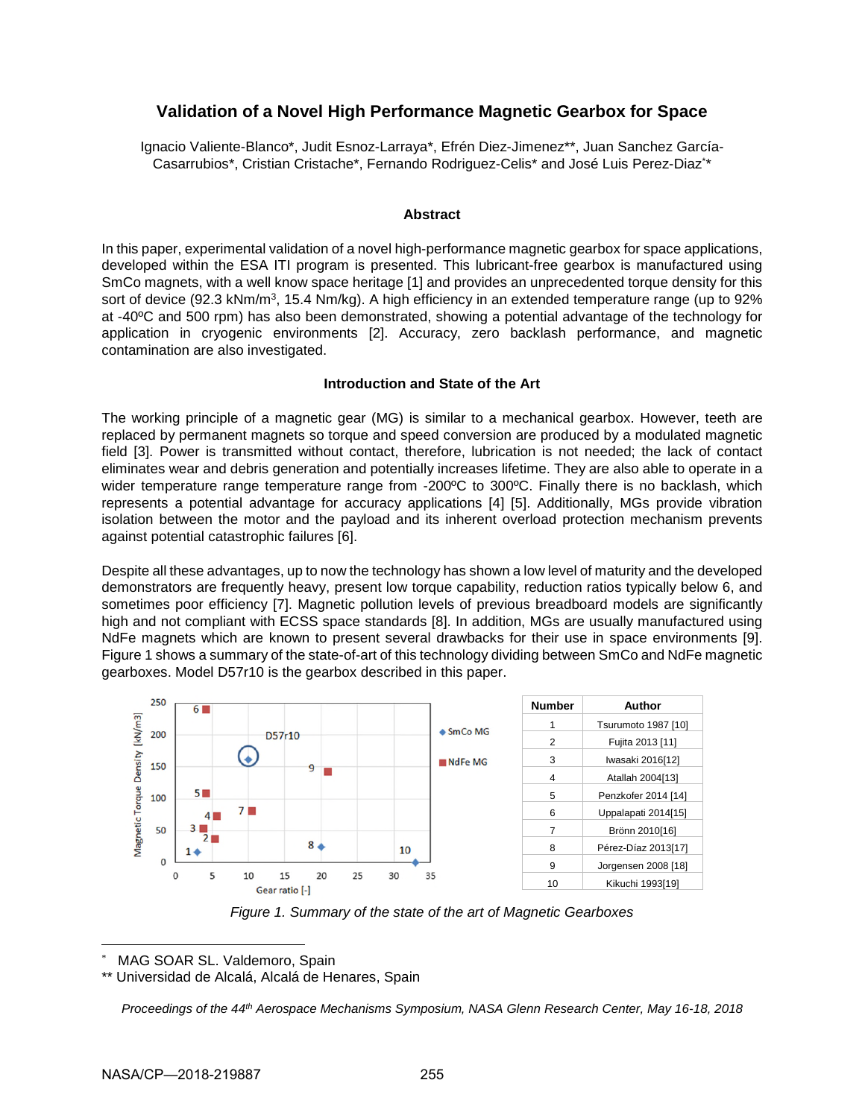# **Validation of a Novel High Performance Magnetic Gearbox for Space**

Ignacio Valiente-Blanco\*, Judit Esnoz-Larraya\*, Efrén Diez-Jimenez\*\*, Juan Sanchez García-Casarrubios\*, Cristian Cristache\*, Fernando Rodriguez-Celis\* and José Luis Perez-Diaz\* \*

### **Abstract**

In this paper, experimental validation of a novel high-performance magnetic gearbox for space applications, developed within the ESA ITI program is presented. This lubricant-free gearbox is manufactured using SmCo magnets, with a well know space heritage [1] and provides an unprecedented torque density for this sort of device (92.3 kNm/m<sup>3</sup>, 15.4 Nm/kg). A high efficiency in an extended temperature range (up to 92% at -40ºC and 500 rpm) has also been demonstrated, showing a potential advantage of the technology for application in cryogenic environments [2]. Accuracy, zero backlash performance, and magnetic contamination are also investigated.

### **Introduction and State of the Art**

The working principle of a magnetic gear (MG) is similar to a mechanical gearbox. However, teeth are replaced by permanent magnets so torque and speed conversion are produced by a modulated magnetic field [3]. Power is transmitted without contact, therefore, lubrication is not needed; the lack of contact eliminates wear and debris generation and potentially increases lifetime. They are also able to operate in a wider temperature range temperature range from -200ºC to 300ºC. Finally there is no backlash, which represents a potential advantage for accuracy applications [4] [5]. Additionally, MGs provide vibration isolation between the motor and the payload and its inherent overload protection mechanism prevents against potential catastrophic failures [6].

Despite all these advantages, up to now the technology has shown a low level of maturity and the developed demonstrators are frequently heavy, present low torque capability, reduction ratios typically below 6, and sometimes poor efficiency [7]. Magnetic pollution levels of previous breadboard models are significantly high and not compliant with ECSS space standards [8]. In addition, MGs are usually manufactured using NdFe magnets which are known to present several drawbacks for their use in space environments [9]. Figure 1 shows a summary of the state-of-art of this technology dividing between SmCo and NdFe magnetic gearboxes. Model D57r10 is the gearbox described in this paper.



*Figure 1. Summary of the state of the art of Magnetic Gearboxes* 

MAG SOAR SL. Valdemoro, Spain

\*\* Universidad de Alcalá, Alcalá de Henares, Spain

*Proceedings of the 44th Aerospace Mechanisms Symposium, NASA Glenn Research Center, May 16-18, 2018*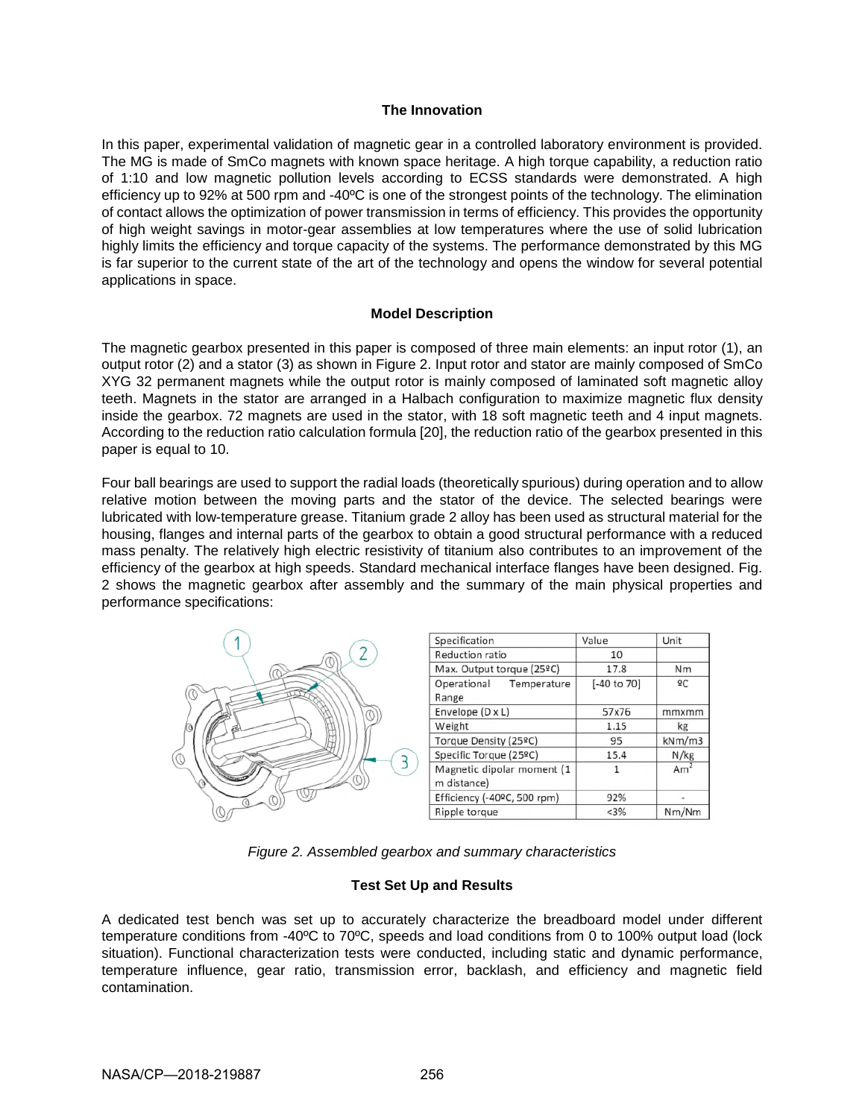### **The Innovation**

In this paper, experimental validation of magnetic gear in a controlled laboratory environment is provided. The MG is made of SmCo magnets with known space heritage. A high torque capability, a reduction ratio of 1:10 and low magnetic pollution levels according to ECSS standards were demonstrated. A high efficiency up to 92% at 500 rpm and -40ºC is one of the strongest points of the technology. The elimination of contact allows the optimization of power transmission in terms of efficiency. This provides the opportunity of high weight savings in motor-gear assemblies at low temperatures where the use of solid lubrication highly limits the efficiency and torque capacity of the systems. The performance demonstrated by this MG is far superior to the current state of the art of the technology and opens the window for several potential applications in space.

### **Model Description**

The magnetic gearbox presented in this paper is composed of three main elements: an input rotor (1), an output rotor (2) and a stator (3) as shown in Figure 2. Input rotor and stator are mainly composed of SmCo XYG 32 permanent magnets while the output rotor is mainly composed of laminated soft magnetic alloy teeth. Magnets in the stator are arranged in a Halbach configuration to maximize magnetic flux density inside the gearbox. 72 magnets are used in the stator, with 18 soft magnetic teeth and 4 input magnets. According to the reduction ratio calculation formula [20], the reduction ratio of the gearbox presented in this paper is equal to 10.

Four ball bearings are used to support the radial loads (theoretically spurious) during operation and to allow relative motion between the moving parts and the stator of the device. The selected bearings were lubricated with low-temperature grease. Titanium grade 2 alloy has been used as structural material for the housing, flanges and internal parts of the gearbox to obtain a good structural performance with a reduced mass penalty. The relatively high electric resistivity of titanium also contributes to an improvement of the efficiency of the gearbox at high speeds. Standard mechanical interface flanges have been designed. Fig. 2 shows the magnetic gearbox after assembly and the summary of the main physical properties and performance specifications:

|    | Specification                             | Value                  | Unit            |
|----|-------------------------------------------|------------------------|-----------------|
| O1 | Reduction ratio                           | 10                     |                 |
|    | Max. Output torque (25ºC)                 | 17.8                   | Nm              |
|    | Operational<br>Temperature<br>Range       | $[-40 \text{ to } 70]$ | ºC              |
|    | Envelope $(D \times L)$                   | 57x76                  | mmxmm           |
|    | Weight                                    | 1.15                   | kg              |
|    | Torque Density (25ºC)                     | 95                     | kNm/m3          |
|    | Specific Torque (25ºC)                    | 15.4                   | N/kg            |
|    | Magnetic dipolar moment (1<br>m distance) |                        | Am <sup>2</sup> |
|    | Efficiency (-40ºC, 500 rpm)               | 92%                    |                 |
|    | Ripple torque                             | < 3%                   | Nm/Nm           |

*Figure 2. Assembled gearbox and summary characteristics* 

# **Test Set Up and Results**

A dedicated test bench was set up to accurately characterize the breadboard model under different temperature conditions from -40ºC to 70ºC, speeds and load conditions from 0 to 100% output load (lock situation). Functional characterization tests were conducted, including static and dynamic performance, temperature influence, gear ratio, transmission error, backlash, and efficiency and magnetic field contamination.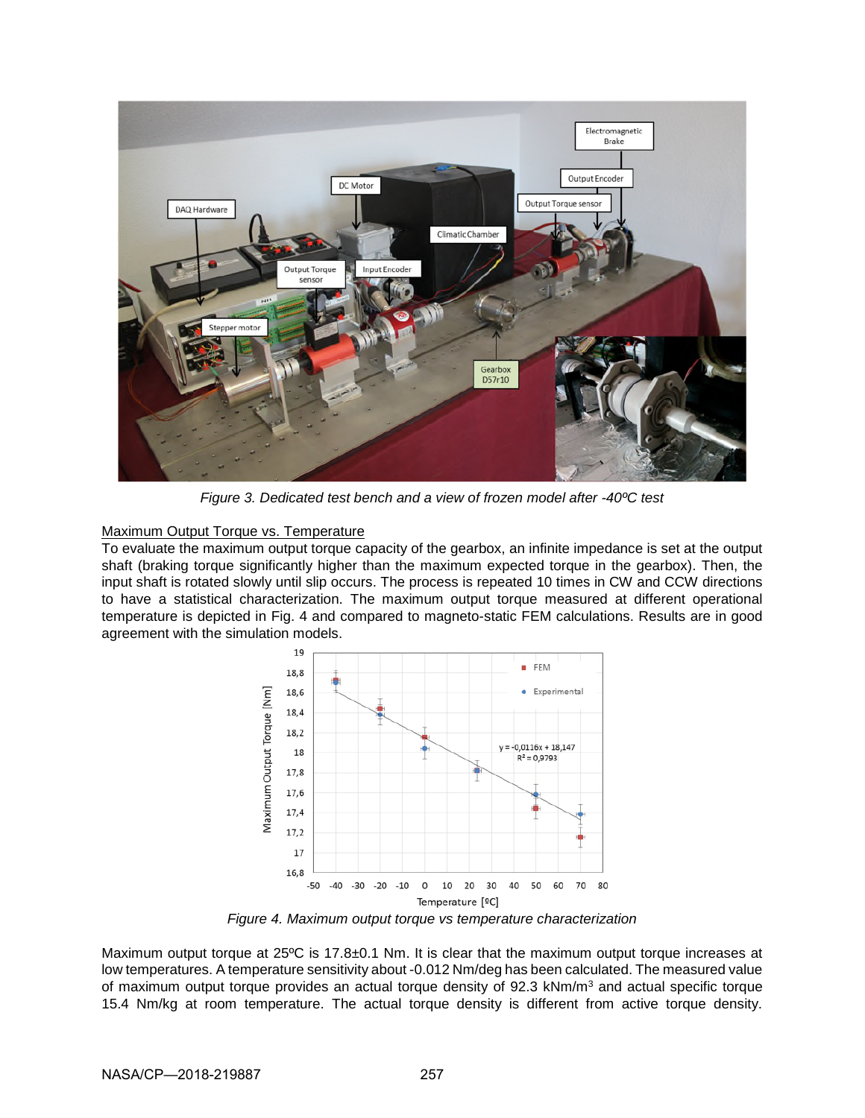

*Figure 3. Dedicated test bench and a view of frozen model after -40ºC test* 

Maximum Output Torque vs. Temperature

To evaluate the maximum output torque capacity of the gearbox, an infinite impedance is set at the output shaft (braking torque significantly higher than the maximum expected torque in the gearbox). Then, the input shaft is rotated slowly until slip occurs. The process is repeated 10 times in CW and CCW directions to have a statistical characterization. The maximum output torque measured at different operational temperature is depicted in Fig. 4 and compared to magneto-static FEM calculations. Results are in good agreement with the simulation models.



*Figure 4. Maximum output torque vs temperature characterization* 

Maximum output torque at 25°C is 17.8±0.1 Nm. It is clear that the maximum output torque increases at low temperatures. A temperature sensitivity about -0.012 Nm/deg has been calculated. The measured value of maximum output torque provides an actual torque density of 92.3 kNm/m<sup>3</sup> and actual specific torque 15.4 Nm/kg at room temperature. The actual torque density is different from active torque density.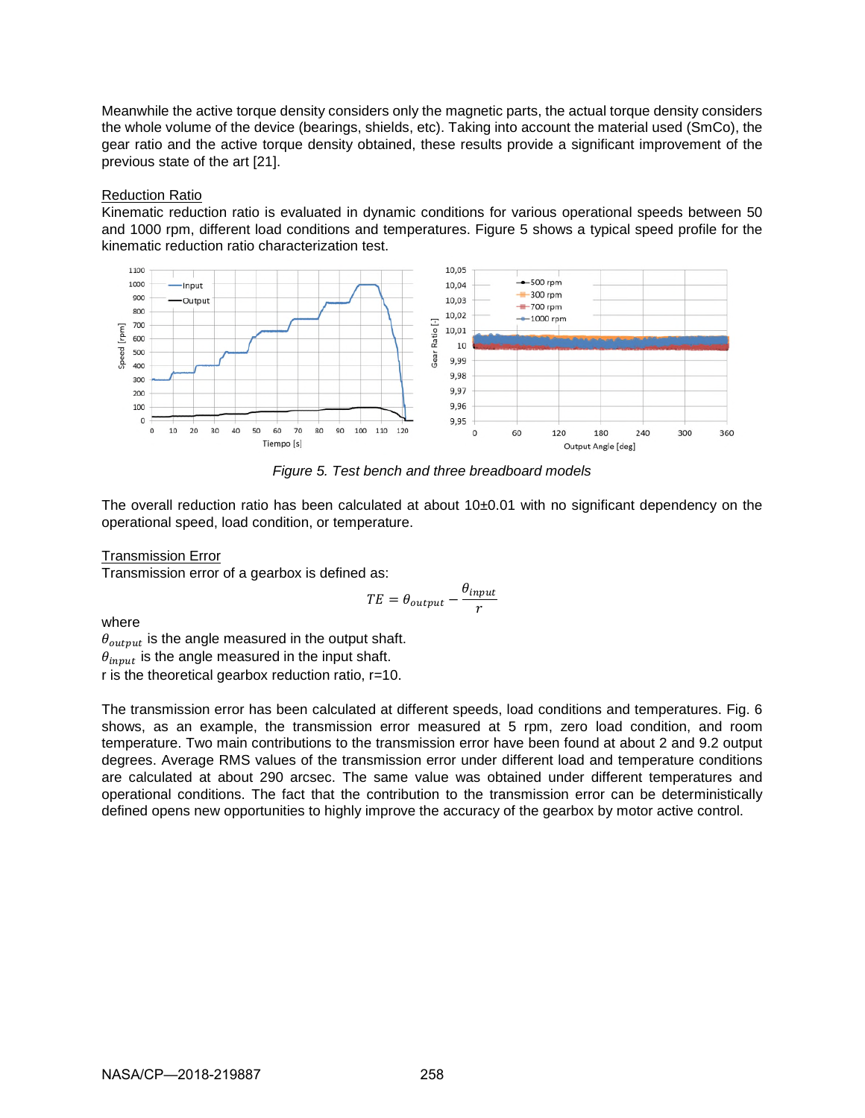Meanwhile the active torque density considers only the magnetic parts, the actual torque density considers the whole volume of the device (bearings, shields, etc). Taking into account the material used (SmCo), the gear ratio and the active torque density obtained, these results provide a significant improvement of the previous state of the art [21].

### Reduction Ratio

Kinematic reduction ratio is evaluated in dynamic conditions for various operational speeds between 50 and 1000 rpm, different load conditions and temperatures. Figure 5 shows a typical speed profile for the kinematic reduction ratio characterization test.



*Figure 5. Test bench and three breadboard models* 

The overall reduction ratio has been calculated at about  $10\pm0.01$  with no significant dependency on the operational speed, load condition, or temperature.

### Transmission Error

Transmission error of a gearbox is defined as:

$$
TE = \theta_{output} - \frac{\theta_{input}}{r}
$$

where

 $\theta_{output}$  is the angle measured in the output shaft.  $\theta_{input}$  is the angle measured in the input shaft. r is the theoretical gearbox reduction ratio, r=10.

The transmission error has been calculated at different speeds, load conditions and temperatures. Fig. 6 shows, as an example, the transmission error measured at 5 rpm, zero load condition, and room temperature. Two main contributions to the transmission error have been found at about 2 and 9.2 output degrees. Average RMS values of the transmission error under different load and temperature conditions are calculated at about 290 arcsec. The same value was obtained under different temperatures and operational conditions. The fact that the contribution to the transmission error can be deterministically defined opens new opportunities to highly improve the accuracy of the gearbox by motor active control.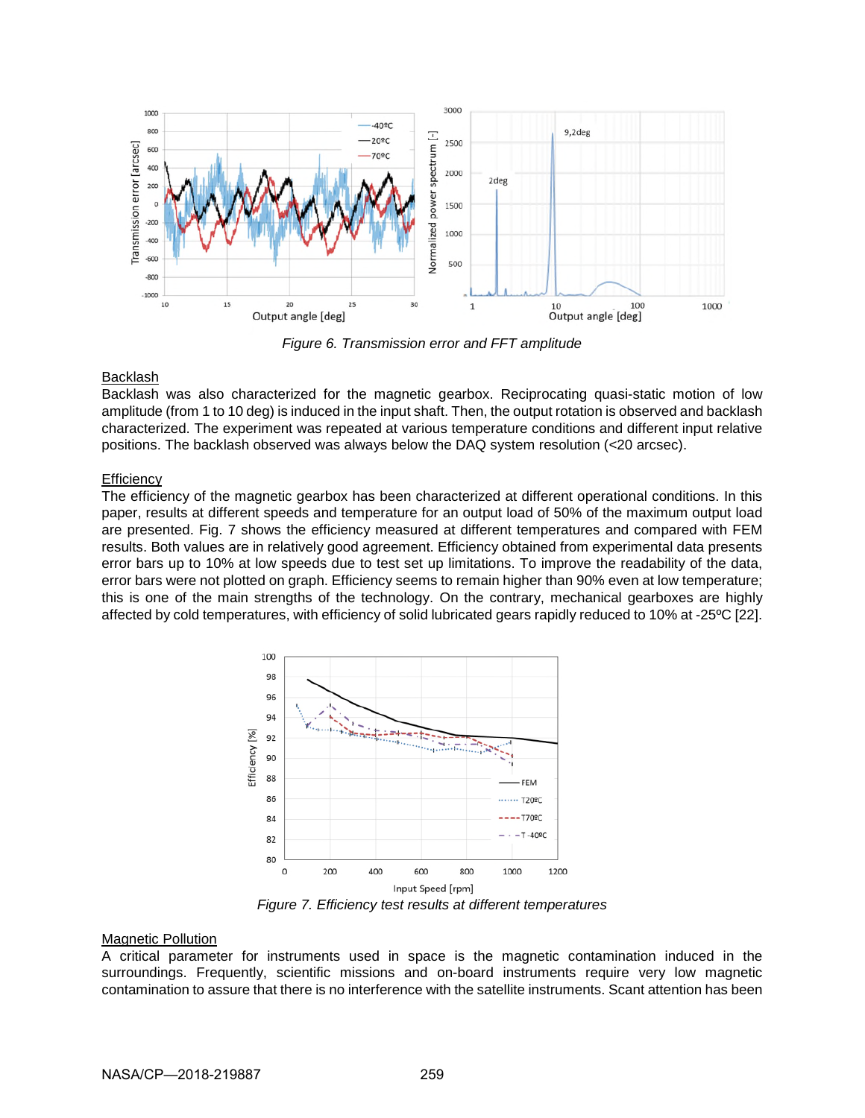

*Figure 6. Transmission error and FFT amplitude* 

### **Backlash**

Backlash was also characterized for the magnetic gearbox. Reciprocating quasi-static motion of low amplitude (from 1 to 10 deg) is induced in the input shaft. Then, the output rotation is observed and backlash characterized. The experiment was repeated at various temperature conditions and different input relative positions. The backlash observed was always below the DAQ system resolution (<20 arcsec).

### **Efficiency**

The efficiency of the magnetic gearbox has been characterized at different operational conditions. In this paper, results at different speeds and temperature for an output load of 50% of the maximum output load are presented. Fig. 7 shows the efficiency measured at different temperatures and compared with FEM results. Both values are in relatively good agreement. Efficiency obtained from experimental data presents error bars up to 10% at low speeds due to test set up limitations. To improve the readability of the data, error bars were not plotted on graph. Efficiency seems to remain higher than 90% even at low temperature; this is one of the main strengths of the technology. On the contrary, mechanical gearboxes are highly affected by cold temperatures, with efficiency of solid lubricated gears rapidly reduced to 10% at -25ºC [22].



*Figure 7. Efficiency test results at different temperatures* 

### Magnetic Pollution

A critical parameter for instruments used in space is the magnetic contamination induced in the surroundings. Frequently, scientific missions and on-board instruments require very low magnetic contamination to assure that there is no interference with the satellite instruments. Scant attention has been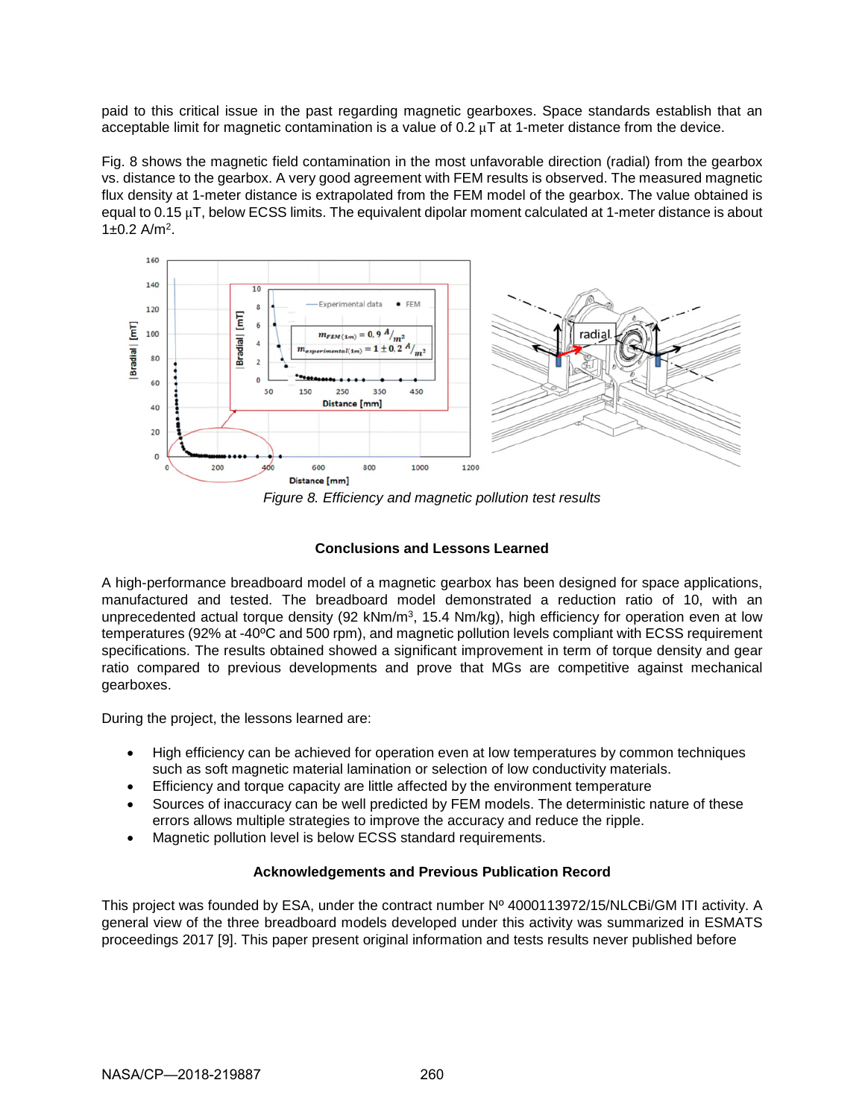paid to this critical issue in the past regarding magnetic gearboxes. Space standards establish that an acceptable limit for magnetic contamination is a value of  $0.2 \mu T$  at 1-meter distance from the device.

Fig. 8 shows the magnetic field contamination in the most unfavorable direction (radial) from the gearbox vs. distance to the gearbox. A very good agreement with FEM results is observed. The measured magnetic flux density at 1-meter distance is extrapolated from the FEM model of the gearbox. The value obtained is equal to 0.15 µT, below ECSS limits. The equivalent dipolar moment calculated at 1-meter distance is about 1±0.2 A/m<sup>2</sup> .



*Figure 8. Efficiency and magnetic pollution test results* 

# **Conclusions and Lessons Learned**

A high-performance breadboard model of a magnetic gearbox has been designed for space applications, manufactured and tested. The breadboard model demonstrated a reduction ratio of 10, with an unprecedented actual torque density (92 kNm/m<sup>3</sup>, 15.4 Nm/kg), high efficiency for operation even at low temperatures (92% at -40ºC and 500 rpm), and magnetic pollution levels compliant with ECSS requirement specifications. The results obtained showed a significant improvement in term of torque density and gear ratio compared to previous developments and prove that MGs are competitive against mechanical gearboxes.

During the project, the lessons learned are:

- High efficiency can be achieved for operation even at low temperatures by common techniques such as soft magnetic material lamination or selection of low conductivity materials.
- Efficiency and torque capacity are little affected by the environment temperature
- Sources of inaccuracy can be well predicted by FEM models. The deterministic nature of these errors allows multiple strategies to improve the accuracy and reduce the ripple.
- Magnetic pollution level is below ECSS standard requirements.

# **Acknowledgements and Previous Publication Record**

This project was founded by ESA, under the contract number Nº 4000113972/15/NLCBi/GM ITI activity. A general view of the three breadboard models developed under this activity was summarized in ESMATS proceedings 2017 [9]. This paper present original information and tests results never published before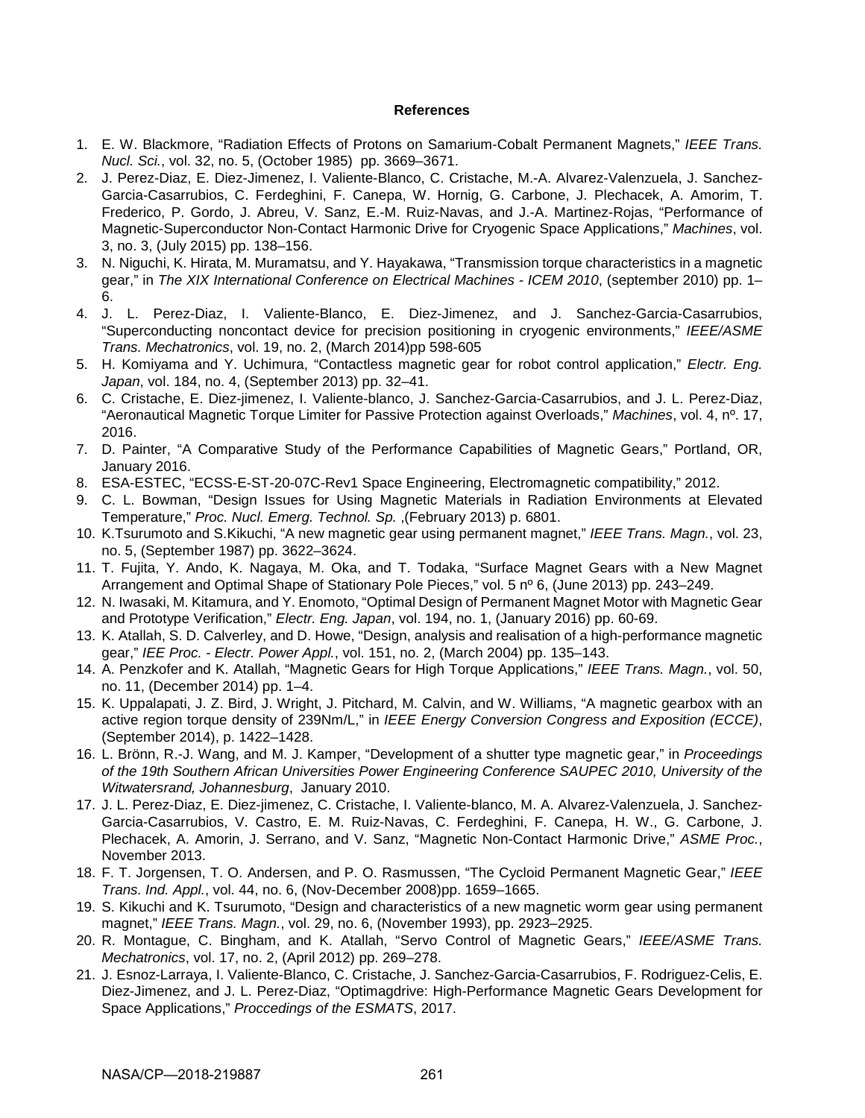#### **References**

- 1. E. W. Blackmore, "Radiation Effects of Protons on Samarium-Cobalt Permanent Magnets," *IEEE Trans. Nucl. Sci.*, vol. 32, no. 5, (October 1985) pp. 3669–3671.
- 2. J. Perez-Diaz, E. Diez-Jimenez, I. Valiente-Blanco, C. Cristache, M.-A. Alvarez-Valenzuela, J. Sanchez-Garcia-Casarrubios, C. Ferdeghini, F. Canepa, W. Hornig, G. Carbone, J. Plechacek, A. Amorim, T. Frederico, P. Gordo, J. Abreu, V. Sanz, E.-M. Ruiz-Navas, and J.-A. Martinez-Rojas, "Performance of Magnetic-Superconductor Non-Contact Harmonic Drive for Cryogenic Space Applications," *Machines*, vol. 3, no. 3, (July 2015) pp. 138–156.
- 3. N. Niguchi, K. Hirata, M. Muramatsu, and Y. Hayakawa, "Transmission torque characteristics in a magnetic gear," in *The XIX International Conference on Electrical Machines - ICEM 2010*, (september 2010) pp. 1– 6.
- 4. J. L. Perez-Diaz, I. Valiente-Blanco, E. Diez-Jimenez, and J. Sanchez-Garcia-Casarrubios, "Superconducting noncontact device for precision positioning in cryogenic environments," *IEEE/ASME Trans. Mechatronics*, vol. 19, no. 2, (March 2014)pp 598-605
- 5. H. Komiyama and Y. Uchimura, "Contactless magnetic gear for robot control application," *Electr. Eng. Japan*, vol. 184, no. 4, (September 2013) pp. 32–41.
- 6. C. Cristache, E. Diez-jimenez, I. Valiente-blanco, J. Sanchez-Garcia-Casarrubios, and J. L. Perez-Diaz, "Aeronautical Magnetic Torque Limiter for Passive Protection against Overloads," *Machines*, vol. 4, nº. 17, 2016.
- 7. D. Painter, "A Comparative Study of the Performance Capabilities of Magnetic Gears," Portland, OR, January 2016.
- 8. ESA-ESTEC, "ECSS-E-ST-20-07C-Rev1 Space Engineering, Electromagnetic compatibility," 2012.
- 9. C. L. Bowman, "Design Issues for Using Magnetic Materials in Radiation Environments at Elevated Temperature," *Proc. Nucl. Emerg. Technol. Sp.* ,(February 2013) p. 6801.
- 10. K.Tsurumoto and S.Kikuchi, "A new magnetic gear using permanent magnet," *IEEE Trans. Magn.*, vol. 23, no. 5, (September 1987) pp. 3622–3624.
- 11. T. Fujita, Y. Ando, K. Nagaya, M. Oka, and T. Todaka, "Surface Magnet Gears with a New Magnet Arrangement and Optimal Shape of Stationary Pole Pieces," vol. 5 nº 6, (June 2013) pp. 243–249.
- 12. N. Iwasaki, M. Kitamura, and Y. Enomoto, "Optimal Design of Permanent Magnet Motor with Magnetic Gear and Prototype Verification," *Electr. Eng. Japan*, vol. 194, no. 1, (January 2016) pp. 60-69.
- 13. K. Atallah, S. D. Calverley, and D. Howe, "Design, analysis and realisation of a high-performance magnetic gear," *IEE Proc. - Electr. Power Appl.*, vol. 151, no. 2, (March 2004) pp. 135–143.
- 14. A. Penzkofer and K. Atallah, "Magnetic Gears for High Torque Applications," *IEEE Trans. Magn.*, vol. 50, no. 11, (December 2014) pp. 1–4.
- 15. K. Uppalapati, J. Z. Bird, J. Wright, J. Pitchard, M. Calvin, and W. Williams, "A magnetic gearbox with an active region torque density of 239Nm/L," in *IEEE Energy Conversion Congress and Exposition (ECCE)*, (September 2014), p. 1422–1428.
- 16. L. Brönn, R.-J. Wang, and M. J. Kamper, "Development of a shutter type magnetic gear," in *Proceedings of the 19th Southern African Universities Power Engineering Conference SAUPEC 2010, University of the Witwatersrand, Johannesburg*, January 2010.
- 17. J. L. Perez-Diaz, E. Diez-jimenez, C. Cristache, I. Valiente-blanco, M. A. Alvarez-Valenzuela, J. Sanchez-Garcia-Casarrubios, V. Castro, E. M. Ruiz-Navas, C. Ferdeghini, F. Canepa, H. W., G. Carbone, J. Plechacek, A. Amorin, J. Serrano, and V. Sanz, "Magnetic Non-Contact Harmonic Drive," *ASME Proc.*, November 2013.
- 18. F. T. Jorgensen, T. O. Andersen, and P. O. Rasmussen, "The Cycloid Permanent Magnetic Gear," *IEEE Trans. Ind. Appl.*, vol. 44, no. 6, (Nov-December 2008)pp. 1659–1665.
- 19. S. Kikuchi and K. Tsurumoto, "Design and characteristics of a new magnetic worm gear using permanent magnet," *IEEE Trans. Magn.*, vol. 29, no. 6, (November 1993), pp. 2923–2925.
- 20. R. Montague, C. Bingham, and K. Atallah, "Servo Control of Magnetic Gears," *IEEE/ASME Trans. Mechatronics*, vol. 17, no. 2, (April 2012) pp. 269–278.
- 21. J. Esnoz-Larraya, I. Valiente-Blanco, C. Cristache, J. Sanchez-Garcia-Casarrubios, F. Rodriguez-Celis, E. Diez-Jimenez, and J. L. Perez-Diaz, "Optimagdrive: High-Performance Magnetic Gears Development for Space Applications," *Proccedings of the ESMATS*, 2017.